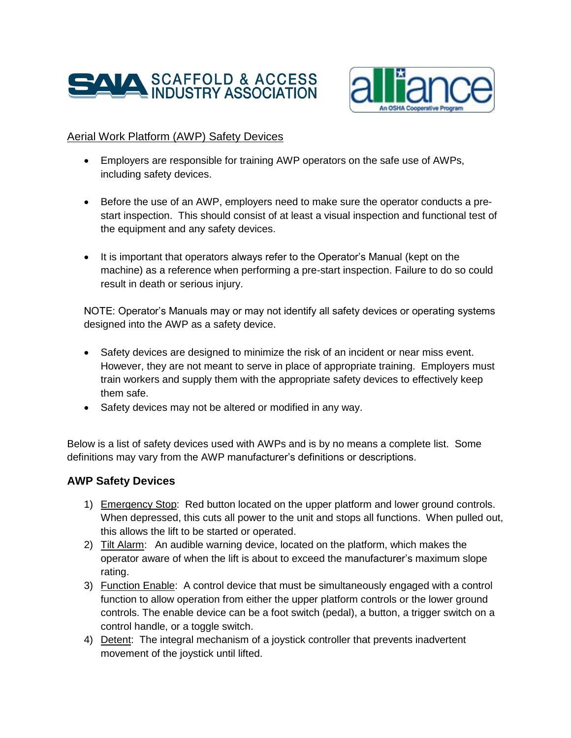



## Aerial Work Platform (AWP) Safety Devices

- Employers are responsible for training AWP operators on the safe use of AWPs, including safety devices.
- Before the use of an AWP, employers need to make sure the operator conducts a prestart inspection. This should consist of at least a visual inspection and functional test of the equipment and any safety devices.
- It is important that operators always refer to the Operator's Manual (kept on the machine) as a reference when performing a pre-start inspection. Failure to do so could result in death or serious injury.

NOTE: Operator's Manuals may or may not identify all safety devices or operating systems designed into the AWP as a safety device.

- Safety devices are designed to minimize the risk of an incident or near miss event. However, they are not meant to serve in place of appropriate training. Employers must train workers and supply them with the appropriate safety devices to effectively keep them safe.
- Safety devices may not be altered or modified in any way.

Below is a list of safety devices used with AWPs and is by no means a complete list. Some definitions may vary from the AWP manufacturer's definitions or descriptions.

## **AWP Safety Devices**

- 1) Emergency Stop: Red button located on the upper platform and lower ground controls. When depressed, this cuts all power to the unit and stops all functions. When pulled out, this allows the lift to be started or operated.
- 2) Tilt Alarm: An audible warning device, located on the platform, which makes the operator aware of when the lift is about to exceed the manufacturer's maximum slope rating.
- 3) Function Enable: A control device that must be simultaneously engaged with a control function to allow operation from either the upper platform controls or the lower ground controls. The enable device can be a foot switch (pedal), a button, a trigger switch on a control handle, or a toggle switch.
- 4) Detent: The integral mechanism of a joystick controller that prevents inadvertent movement of the joystick until lifted.